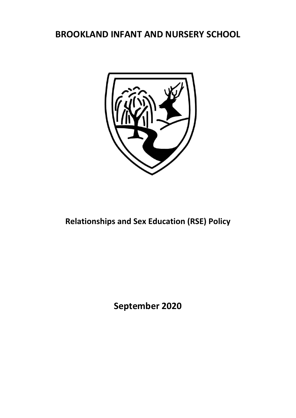# **BROOKLAND INFANT AND NURSERY SCHOOL**



# **Relationships and Sex Education (RSE) Policy**

**September 2020**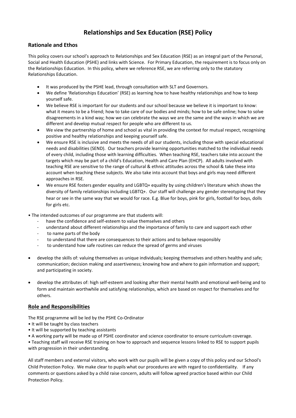# **Relationships and Sex Education (RSE) Policy**

## **Rationale and Ethos**

This policy covers our school's approach to Relationships and Sex Education (RSE) as an integral part of the Personal, Social and Health Education (PSHE) and links with Science. For Primary Education, the requirement is to focus only on the Relationships Education. In this policy, where we reference RSE, we are referring only to the statutory Relationships Education.

- It was produced by the PSHE lead, through consultation with SLT and Governors.
- We define 'Relationships Education' (RSE) as learning how to have healthy relationships and how to keep yourself safe.
- We believe RSE is important for our students and our school because we believe it is important to know: what it means to be a friend; how to take care of our bodies and minds; how to be safe online; how to solve disagreements in a kind way; how we can celebrate the ways we are the same and the ways in which we are different and develop mutual respect for people who are different to us.
- We view the partnership of home and school as vital in providing the context for mutual respect, recognising positive and healthy relationships and keeping yourself safe.
- We ensure RSE is inclusive and meets the needs of all our students, including those with special educational needs and disabilities (SEND). Our teachers provide learning opportunities matched to the individual needs of every child, including those with learning difficulties. When teaching RSE, teachers take into account the targets which may be part of a child's Education, Health and Care Plan (EHCP). All adults involved with teaching RSE are sensitive to the range of cultural & ethnic attitudes across the school & take these into account when teaching these subjects. We also take into account that boys and girls may need different approaches in RSE.
- We ensure RSE fosters gender equality and LGBTQ+ equality by using children's literature which shows the diversity of family relationships including LGBTQ+. Our staff will challenge any gender stereotyping that they hear or see in the same way that we would for race. E.g. Blue for boys, pink for girls, football for boys, dolls for girls etc.
- The intended outcomes of our programme are that students will:
	- have the confidence and self-esteem to value themselves and others
	- understand about different relationships and the importance of family to care and support each other
	- to name parts of the body
	- to understand that there are consequences to their actions and to behave responsibly
	- to understand how safe routines can reduce the spread of germs and viruses
- develop the skills of: valuing themselves as unique individuals; keeping themselves and others healthy and safe; communication; decision making and assertiveness; knowing how and where to gain information and support; and participating in society.
- develop the attributes of: high self-esteem and looking after their mental health and emotional well-being and to form and maintain worthwhile and satisfying relationships, which are based on respect for themselves and for others.

#### **Role and Responsibilities**

The RSE programme will be led by the PSHE Co-Ordinator

- It will be taught by class teachers
- It will be supported by teaching assistants
- A working party will be made up of PSHE coordinator and science coordinator to ensure curriculum coverage.

• Teaching staff will receive RSE training on how to approach and sequence lessons linked to RSE to support pupils with progression in their understanding.

All staff members and external visitors, who work with our pupils will be given a copy of this policy and our School's Child Protection Policy. We make clear to pupils what our procedures are with regard to confidentiality. If any comments or questions asked by a child raise concern, adults will follow agreed practice based within our Child Protection Policy.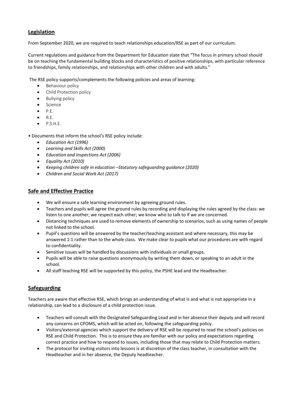#### **Legislation**

From September 2020, we are required to teach relationships education/RSE as part of our curriculum.

Current regulations and guidance from the Department for Education state that "The focus in primary school should be on teaching the fundamental building blocks and characteristics of positive relationships, with particular reference to friendships, family relationships, and relationships with other children and with adults."

The RSE policy supports/complements the following policies and areas of learning:

- Behaviour policy
- Child Protection policy
- Bullying policy
- Science
- P.E.
- $\bullet$  R.E.
- P.S.H.E.

• Documents that inform the school's RSE policy include:

- *Education Act (1996)*
- *Learning and Skills Act (2000)*
- *Education and Inspections Act (2006)*
- *Equality Act (2010)*
- *Keeping children safe in education –Statutory safeguarding guidance (2020)*
- *Children and Social Work Act (2017)*

#### **Safe and Effective Practice**

- We will ensure a safe learning environment by agreeing ground rules.
- Teachers and pupils will agree the ground rules by recording and displaying the rules agreed by the class: we listen to one another; we respect each other; we know who to talk to if we are concerned.
- Distancing techniques are used to remove elements of ownership to scenarios, such as using names of people not linked to the school.
- Pupil's questions will be answered by the teacher/teaching assistant and where necessary, this may be answered 1:1 rather than to the whole class. We make clear to pupils what our procedures are with regard to confidentiality.
- Sensitive issues will be handled by discussions with individuals or small groups.
- Pupils will be able to raise questions anonymously by writing them down, or speaking to an adult in the school.
- All staff teaching RSE will be supported by this policy, the PSHE lead and the Headteacher.

#### **Safeguarding**

Teachers are aware that effective RSE, which brings an understanding of what is and what is not appropriate in a relationship, can lead to a disclosure of a child protection issue.

- Teachers will consult with the Designated Safeguarding Lead and in her absence their deputy and will record any concerns on CPOMS, which will be acted on, following the safeguarding policy.
- Visitors/external agencies which support the delivery of RSE will be required to read the school's policies on RSE and Child Protection. This is to ensure they are familiar with our policy and expectations regarding correct practice and how to respond to issues, including those that may relate to Child Protection matters.
- The protocol for inviting visitors into lessons is at discretion of the class teacher, in consultation with the Headteacher and in her absence, the Deputy headteacher.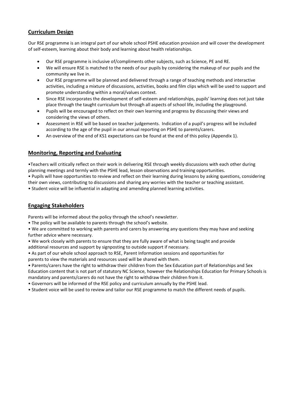#### **Curriculum Design**

Our RSE programme is an integral part of our whole school PSHE education provision and will cover the development of self-esteem, learning about their body and learning about health relationships.

- Our RSE programme is inclusive of/compliments other subjects, such as Science, PE and RE.
- We will ensure RSE is matched to the needs of our pupils by considering the makeup of our pupils and the community we live in.
- Our RSE programme will be planned and delivered through a range of teaching methods and interactive activities, including a mixture of discussions, activities, books and film clips which will be used to support and promote understanding within a moral/values context.
- Since RSE incorporates the development of self-esteem and relationships, pupils' learning does not just take place through the taught curriculum but through all aspects of school life, including the playground.
- Pupils will be encouraged to reflect on their own learning and progress by discussing their views and considering the views of others.
- Assessment in RSE will be based on teacher judgements. Indication of a pupil's progress will be included according to the age of the pupil in our annual reporting on PSHE to parents/carers.
- An overview of the end of KS1 expectations can be found at the end of this policy (Appendix 1).

#### **Monitoring, Reporting and Evaluating**

•Teachers will critically reflect on their work in delivering RSE through weekly discussions with each other during planning meetings and termly with the PSHE lead, lesson observations and training opportunities. • Pupils will have opportunities to review and reflect on their learning during lessons by asking questions, considering their own views, contributing to discussions and sharing any worries with the teacher or teaching assistant.

• Student voice will be influential in adapting and amending planned learning activities.

#### **Engaging Stakeholders**

Parents will be informed about the policy through the school's newsletter.

• The policy will be available to parents through the school's website.

• We are committed to working with parents and carers by answering any questions they may have and seeking further advice where necessary.

• We work closely with parents to ensure that they are fully aware of what is being taught and provide additional resources and support by signposting to outside support if necessary.

- As part of our whole school approach to RSE, Parent Information sessions and opportunities for
- parents to view the materials and resources used will be shared with them.

• Parents/carers have the right to withdraw their children from the Sex Education part of Relationships and Sex Education content that is not part of statutory NC Science, however the Relationships Education for Primary Schools is mandatory and parents/carers do not have the right to withdraw their children from it.

• Governors will be informed of the RSE policy and curriculum annually by the PSHE lead.

• Student voice will be used to review and tailor our RSE programme to match the different needs of pupils.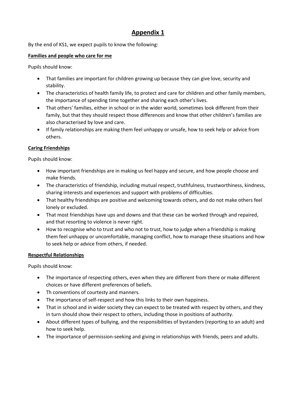# **Appendix 1**

By the end of KS1, we expect pupils to know the following:

## **Families and people who care for me**

Pupils should know:

- That families are important for children growing up because they can give love, security and stability.
- The characteristics of health family life, to protect and care for children and other family members, the importance of spending time together and sharing each other's lives.
- That others' families, either in school or in the wider world, sometimes look different from their family, but that they should respect those differences and know that other children's families are also characterised by love and care.
- If family relationships are making them feel unhappy or unsafe, how to seek help or advice from others.

## **Caring Friendships**

Pupils should know:

- How important friendships are in making us feel happy and secure, and how people choose and make friends.
- The characteristics of friendship, including mutual respect, truthfulness, trustworthiness, kindness, sharing interests and experiences and support with problems of difficulties.
- That healthy friendships are positive and welcoming towards others, and do not make others feel lonely or excluded.
- That most friendships have ups and downs and that these can be worked through and repaired, and that resorting to violence is never right.
- How to recognise who to trust and who not to trust, how to judge when a friendship is making them feel unhappy or uncomfortable, managing conflict, how to manage these situations and how to seek help or advice from others, if needed.

## **Respectful Relationships**

Pupils should know:

- The importance of respecting others, even when they are different from there or make different choices or have different preferences of beliefs.
- Th conventions of courtesty and manners.
- The importance of self-respect and how this links to their own happiness.
- That in school and in wider society they can expect to be treated with respect by others, and they in turn should show their respect to others, including those in positions of authority.
- About different types of bullying, and the responsibilities of bystanders (reporting to an adult) and how to seek help.
- The importance of permission-seeking and giving in relationships with friends, peers and adults.